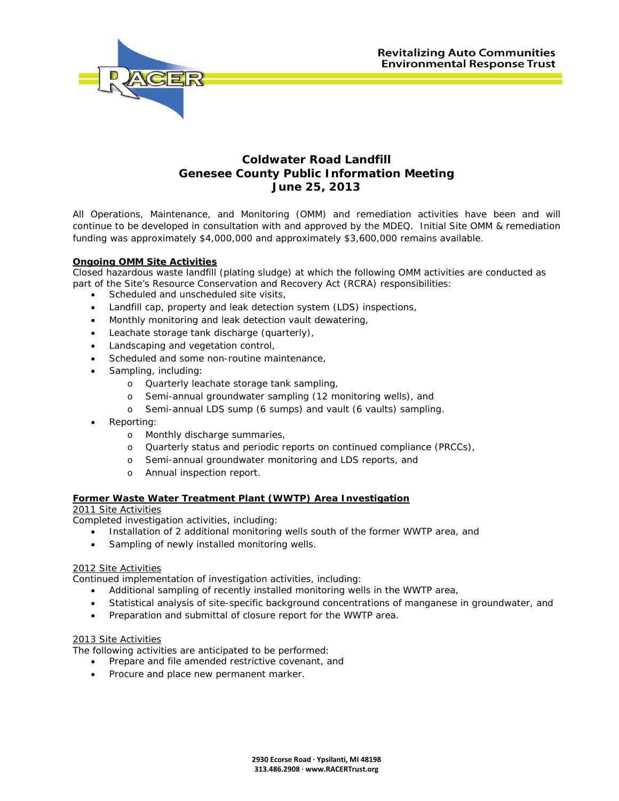

#### **Coldwater Road Landfill Genesee County Public Information Meeting June 25, 2013**

All Operations, Maintenance, and Monitoring (OMM) and remediation activities have been and will continue to be developed in consultation with and approved by the MDEQ. Initial Site OMM & remediation funding was approximately \$4,000,000 and approximately \$3,600,000 remains available.

#### **Ongoing OMM Site Activities**

Closed hazardous waste landfill (plating sludge) at which the following OMM activities are conducted as part of the Site's Resource Conservation and Recovery Act (RCRA) responsibilities:

- Scheduled and unscheduled site visits,
- Landfill cap, property and leak detection system (LDS) inspections,
- Monthly monitoring and leak detection vault dewatering,
- Leachate storage tank discharge (quarterly),
- Landscaping and vegetation control,
- Scheduled and some non-routine maintenance,
- Sampling, including:
	- o Quarterly leachate storage tank sampling,
	- o Semi-annual groundwater sampling (12 monitoring wells), and
	- o Semi-annual LDS sump (6 sumps) and vault (6 vaults) sampling.
- Reporting:
	- o Monthly discharge summaries,
	- o Quarterly status and periodic reports on continued compliance (PRCCs),
	- o Semi-annual groundwater monitoring and LDS reports, and
	- o Annual inspection report.

#### **Former Waste Water Treatment Plant (WWTP) Area Investigation**

2011 Site Activities

Completed investigation activities, including:

- Installation of 2 additional monitoring wells south of the former WWTP area, and
- Sampling of newly installed monitoring wells.

#### 2012 Site Activities

Continued implementation of investigation activities, including:

- Additional sampling of recently installed monitoring wells in the WWTP area,
- Statistical analysis of site-specific background concentrations of manganese in groundwater, and
- Preparation and submittal of closure report for the WWTP area.

#### 2013 Site Activities

The following activities are anticipated to be performed:

- Prepare and file amended restrictive covenant, and
- Procure and place new permanent marker.